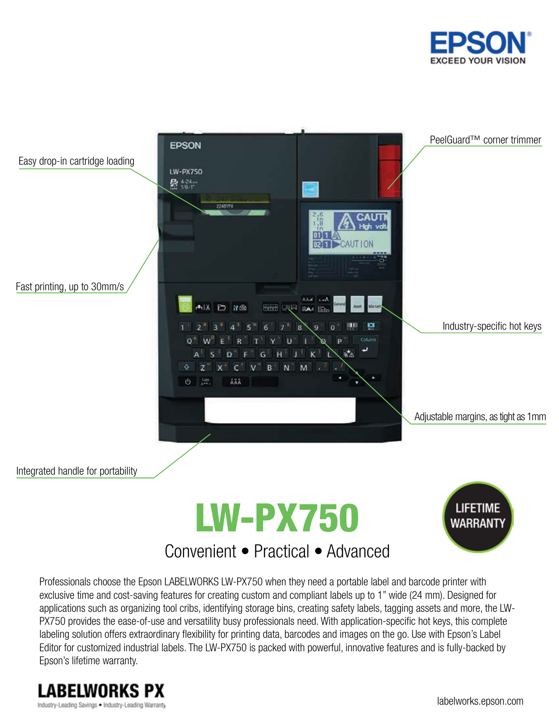



## Convenient • Practical • Advanced

Professionals choose the Epson LABELWORKS LW-PX750 when they need a portable label and barcode printer with exclusive time and cost-saving features for creating custom and compliant labels up to 1" wide (24 mm). Designed for applications such as organizing tool cribs, identifying storage bins, creating safety labels, tagging assets and more, the LW-PX750 provides the ease-of-use and versatility busy professionals need. With application-specific hot keys, this complete labeling solution offers extraordinary flexibility for printing data, barcodes and images on the go. Use with Epson's Label Editor for customized industrial labels. The LW-PX750 is packed with powerful, innovative features and is fully-backed by Epson's lifetime warranty.

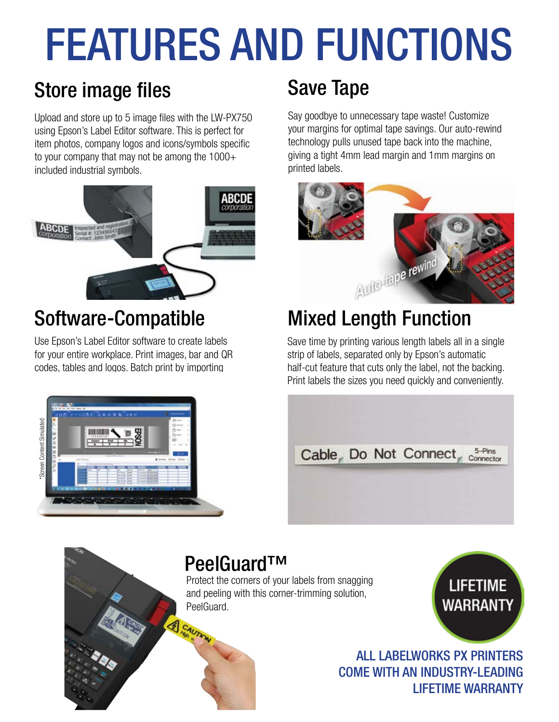# FEATURES AND FUNCTIONS

# Store image files Save Tape

Upload and store up to 5 image files with the LW-PX750 using Epson's Label Editor software. This is perfect for item photos, company logos and icons/symbols specific to your company that may not be among the  $1000+$ included industrial symbols.



# Software-Compatible

Use Epson's Label Editor software to create labels for your entire workplace. Print images, bar and QR codes, tables and logos. Batch print by importing



Say goodbye to unnecessary tape waste! Customize your margins for optimal tape savings. Our auto-rewind technology pulls unused tape back into the machine, giving a tight 4mm lead margin and 1mm margins on printed labels.



# Mixed Length Function

Save time by printing various length labels all in a single strip of labels, separated only by Epson's automatic half-cut feature that cuts only the label, not the backing. Print labels the sizes you need quickly and conveniently.



# PeelGuard™

CAUTION

Protect the corners of your labels from snagging and peeling with this corner-trimming solution, PeelGuard.

**LIFETIME WARRANTY** 

ALL LABELWORKS PX PRINTERS COME WITH AN INDUSTRY-LEADING LIFETIME WARRANTY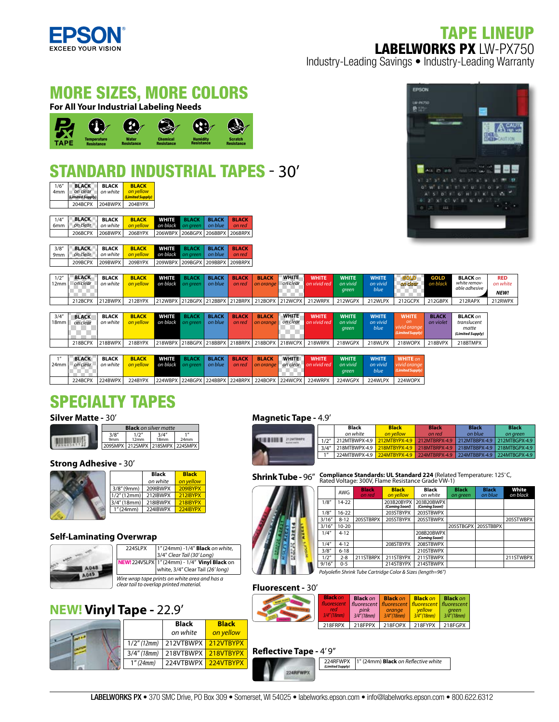

### TAPE LINEUP LABELWORKS PX LW-PX750

Industry-Leading Savings • Industry-Leading Warranty

#### MORE SIZES, MORE COLORS **For All Your Industrial Labeling Needs**



### STANDARD INDUSTRIAL TAPES - 30'

| 1/6''<br>4 <sub>mm</sub> | <b>BLACK</b><br>on clear<br>(Limited Supply) | <b>BLACK</b><br>on white | <b>BLACK</b><br>on yellow<br>(Limited Supply) |                          |
|--------------------------|----------------------------------------------|--------------------------|-----------------------------------------------|--------------------------|
|                          | 204BCPX                                      | 204BWPX                  | 204BYPX                                       |                          |
|                          |                                              |                          |                                               |                          |
| 1/4''                    | <b>BLACK</b><br>on clear                     | <b>BLACK</b><br>on white | <b>BLACK</b><br>on vellow                     | <b>WHITE</b><br>on black |

|       | $\sim$ $\sim$ $\sim$ $\sim$ $\sim$ $\sim$ $\sim$ $\sim$ |              | <b>BALLANDE</b>         | <b>1170 115-2-2</b>             | <b>CONTRACTOR</b> | <b>POST A WILE</b> | <b>INTERNATIONAL</b> |
|-------|---------------------------------------------------------|--------------|-------------------------|---------------------------------|-------------------|--------------------|----------------------|
|       |                                                         |              |                         |                                 |                   |                    |                      |
|       |                                                         |              | 206BCPX 206BWPX 206BYPX | 206WBPX 206BGPX 206BBPX 206BRPX |                   |                    |                      |
| 6mm   | on clear                                                | on white I   | <b>on vellow</b>        | on black on areen on blue       |                   |                    | on red               |
| 1/4'' | <b>BLACK</b>                                            | <b>BLACK</b> | <b>BLACK</b>            |                                 | WHITE BLACK BLACK |                    | <b>BLACK</b>         |

|  | 3/8" <b>BLACK BLACK BLACK</b><br>9mm on clear on white <b>on yellow</b> | <b>WHIPE</b> BLACK BLACK BLACK<br><b>on black</b> on areen on blue on red |  |  |
|--|-------------------------------------------------------------------------|---------------------------------------------------------------------------|--|--|
|  | 209BCPX 209BWPX 209BYPX 209WBPX 209BGPX 209BBPX 209BRPX                 |                                                                           |  |  |



| 1/2"<br>12mm              | <b>BLACK</b><br>on clear | BLACK<br>on white        | <b>BLACK</b><br>on yellow | <b>WHITE</b>             | <b>BLACK</b><br>on black on areen | <b>BLACK</b><br>on blue | <b>BLACK</b><br>on red | <b>BLACK</b><br>on orange                       | <b>WHITE</b><br>on clear | <b>WHITE</b><br>on vivid red | <b>WHITE</b><br>on vivid<br>green | <b>WHITE</b><br>on vivid<br>blue | <b>GOLD</b><br>on clear                                            | <b>GOLD</b><br>on black   | <b>BLACK</b> on<br>white remov-<br>able adhesive            | <b>RED</b><br>on white<br><b>NEW!</b> |
|---------------------------|--------------------------|--------------------------|---------------------------|--------------------------|-----------------------------------|-------------------------|------------------------|-------------------------------------------------|--------------------------|------------------------------|-----------------------------------|----------------------------------|--------------------------------------------------------------------|---------------------------|-------------------------------------------------------------|---------------------------------------|
|                           | 212BCPX                  | 212BWPX                  | 212BYPX                   |                          |                                   |                         |                        | 212WBPX 212BGPX 212BBPX 212BRPX 212BOPX 212WCPX |                          | 212WRPX                      | 212WGPX                           | 212WLPX                          | 212GCPX                                                            | 212GBPX                   | 212RAPX                                                     | 212RWPX                               |
| 3/4''<br>18 <sub>mm</sub> | <b>BLACK</b><br>on clear | <b>BLACK</b><br>on white | <b>BLACK</b><br>on yellow | <b>WHITE</b><br>on black | <b>BLACK</b><br>on green          | <b>BLACK</b><br>on blue | <b>BLACK</b><br>on red | <b>BLACK</b><br>on orange                       | <b>WHITE</b><br>on clear | <b>WHITE</b><br>on vivid red | <b>WHITE</b><br>on vivid<br>green | <b>WHITE</b><br>on vivid<br>blue | <b>WHITE</b><br><sub>on</sub><br>vivid orange<br>(Limited Supply). | <b>BLACK</b><br>on violet | <b>BLACK</b> on<br>translucent<br>matte<br>(Limited Supply) |                                       |
|                           | 218BCPX                  | 218BWPX                  | 218BYPX                   |                          |                                   |                         |                        | 218WBPX 218BGPX 218BBPX 218BRPX 218BOPX 218WCPX |                          | 218WRPX                      | 218WGPX                           | 218WLPX                          | 218WOPX                                                            | 218BVPX                   | 218BTMPX                                                    |                                       |
|                           |                          |                          |                           |                          |                                   |                         |                        |                                                 |                          |                              |                                   |                                  |                                                                    |                           |                                                             |                                       |
| 1<br>24 <sub>mm</sub>     | <b>BLACK</b><br>on clear | <b>BLACK</b><br>on white | <b>BLACK</b><br>on vellow | <b>WHITE</b>             | <b>BLACK</b><br>on black on green | <b>BLACK</b><br>on blue | <b>BLACK</b><br>on red | <b>BLACK</b><br>on orange                       | <b>WHITE</b><br>on clear | <b>WHITE</b><br>on vivid red | <b>WHITE</b><br>on vivid<br>green | <b>WHITE</b><br>on vivid<br>blue | <b>WHITE</b> on<br>vivid orange<br>(Limited Supply)                |                           |                                                             |                                       |
|                           | 224BCPX                  | 224BWPX                  | 224BYPX                   |                          |                                   |                         |                        | 224WBPX 224BGPX 224BBPX 224BRPX 224BOPX 224WCPX |                          | 224WRPX                      | 224WGPX                           | 224WLPX                          | 224WOPX                                                            |                           |                                                             |                                       |

### SPECIALTY TAPES

#### **Silver Matte -** 30'

| <b>Black</b> on silver matte |              |               |                                 |  |  |  |
|------------------------------|--------------|---------------|---------------------------------|--|--|--|
| 3/8''<br>9 <sub>mm</sub>     | 1/2"<br>12mm | 3/4''<br>18mm | 1 <sup>II</sup><br>24mm         |  |  |  |
|                              |              |               | 209SMPX 212SMPX 218SMPX 224SMPX |  |  |  |

#### **Strong Adhesive - 30'**



|                | <b>Black</b> | <b>Black</b> |
|----------------|--------------|--------------|
|                | on white     | on yellow    |
| $3/8''$ (9mm)  | 209IBWPX     | 209IBYPX     |
| $1/2$ " (12mm) | 212IBWPX     | 212IBYPX     |
| 3/4''(18mm)    | 218IBWPX     | 218IBYPX     |
| 1''(24mm)      | 224IBWPX     | 224IBYPX     |
|                |              |              |

#### **Self-Laminating Overwrap**



| 224SLPX                                                                                  | 1" (24mm) -1/4" Black on white,<br>3/4" Clear Tail (30' Long)                      |  |  |  |  |
|------------------------------------------------------------------------------------------|------------------------------------------------------------------------------------|--|--|--|--|
|                                                                                          | NEW! 224VSLPX 1" (24mm) - 1/4" Vinyl Black on<br>white, 3/4" Clear Tail (26' long) |  |  |  |  |
| Wire wrap tape prints on white area and has a<br>clear tail to overlap printed material. |                                                                                    |  |  |  |  |

#### **NEW! Vinyl Tape -** 22.9'



#### **Magnetic Tape -** 4.9'

|       | Black         | <b>Black</b>                  | <b>Black</b> | <b>Black</b>                       | <b>Black</b> |
|-------|---------------|-------------------------------|--------------|------------------------------------|--------------|
|       | on white      | on vellow                     | on red       | on blue                            | on areen     |
| 1/2"  | 212MTBWPX-4.9 | 212MTBYPX-4.9 212MTBRPX-4.9   |              | $212$ MTBBPX-4.9 212MTBGPX-4.9     |              |
| 3/4'' | 218MTBWPX-4.9 | 218MTBYPX-4.9 218MTBRPX-4.9   |              | 218MTBBPX-4.9 218MTBGPX-4.9        |              |
| 1     | 224MTBWPX-4.9 | $224MTBYPX-4.9$ 224MTBRPX-4.9 |              | $\mid$ 224MTBBPX-4.9 224MTBGPX-4.9 |              |
|       |               |                               |              |                                    |              |

**Black** *on green*

205STBGPX

**Black** *on blue*

3/16" 8-12 205STBRPX 205STBYPX 205STBWPX 205STWBPX

**White** *on black*

211STWBPX

**Shrink Tube -** 96" Compliance Standards: UL Standard 224 (Related Temperature: 125°C, **Rated VIII**<br>**Shrink Tube -** 96" Rated Voltage: 300V, Flame Resistance Grade VW-1)

|  |       |                                                             | <b>AWG</b> | <b>Black</b><br>on red | <b>Black</b><br>on yellow    | Black<br>on white            |  |  |  |  |
|--|-------|-------------------------------------------------------------|------------|------------------------|------------------------------|------------------------------|--|--|--|--|
|  |       | 1/8"                                                        | $14-22$    |                        | 203B20BYPX<br>(Coming Soon!) | 203B20BWPX<br>(Coming Soon!) |  |  |  |  |
|  |       | 1/8"                                                        | $16 - 22$  |                        | 203STBYPX                    | 203STBWPX                    |  |  |  |  |
|  |       | 3/16''                                                      | $8 - 12$   | 205STBRPX              | 205STBYPX                    | 205STBWPX                    |  |  |  |  |
|  |       | 3/16''                                                      | $10 - 20$  |                        |                              |                              |  |  |  |  |
|  | 1/4'' | $4 - 12$                                                    |            |                        | 208B20BWPX<br>(Coming Soon!) |                              |  |  |  |  |
|  |       | 1/4"                                                        | $4 - 12$   |                        | 208STBYPX                    | 208STBWPX                    |  |  |  |  |
|  |       | 3/8''                                                       | $6 - 18$   |                        |                              | 210STBWPX                    |  |  |  |  |
|  |       | 1/2"                                                        | $2 - 8$    | 211STBRPX              | 211STBYPX                    | 211STBWPX                    |  |  |  |  |
|  |       | 9/16''                                                      | $0 - 5$    |                        | 214STBYPX                    | 214STBWPX                    |  |  |  |  |
|  |       | Polyolefin Shrink Tube Cartridge Color & Sizes (length=96") |            |                        |                              |                              |  |  |  |  |

#### **Fluorescent -** 30'

| <b>Black on</b><br><b>fluorescent</b><br>red<br>$3/4''$ (18mm) | <b>Black on</b><br>pink<br>$3/4$ " (18mm) | <b>Black on</b><br>orange<br>$3/4''$ (18mm) | <b>Black on</b><br>fluorescent   fluorescent   fluorescent   fluorescent<br>vellow<br>$3/4''$ (18mm) | <b>Black on</b><br>areen<br>$3/\bar{4}$ " (18mm) |
|----------------------------------------------------------------|-------------------------------------------|---------------------------------------------|------------------------------------------------------------------------------------------------------|--------------------------------------------------|
| 218FRPX                                                        | 218FPPX                                   | $\vert$ 218FOPX $\vert$ 218FYPX             |                                                                                                      | 218FGPX                                          |

#### **Reflective Tape - 4' 9"**

224RFWPX 1" (24mm) **Black** on Reflective white *(Limited Supply)* 224RFWP